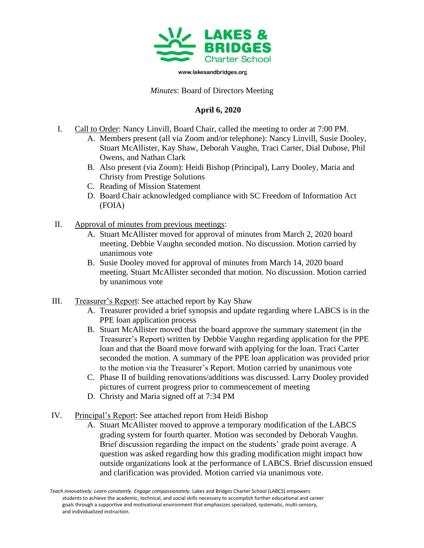

www.lakesandbridges.org

## *Minutes*: Board of Directors Meeting

## **April 6, 2020**

- I. Call to Order: Nancy Linvill, Board Chair, called the meeting to order at 7:00 PM.
	- A. Members present (all via Zoom and/or telephone): Nancy Linvill, Susie Dooley, Stuart McAllister, Kay Shaw, Deborah Vaughn, Traci Carter, Dial Dubose, Phil Owens, and Nathan Clark
	- B. Also present (via Zoom): Heidi Bishop (Principal), Larry Dooley, Maria and Christy from Prestige Solutions
	- C. Reading of Mission Statement
	- D. Board Chair acknowledged compliance with SC Freedom of Information Act (FOIA)
- II. Approval of minutes from previous meetings:
	- A. Stuart McAllister moved for approval of minutes from March 2, 2020 board meeting. Debbie Vaughn seconded motion. No discussion. Motion carried by unanimous vote
	- B. Susie Dooley moved for approval of minutes from March 14, 2020 board meeting. Stuart McAllister seconded that motion. No discussion. Motion carried by unanimous vote
- III. Treasurer's Report: See attached report by Kay Shaw
	- A. Treasurer provided a brief synopsis and update regarding where LABCS is in the PPE loan application process
	- B. Stuart McAllister moved that the board approve the summary statement (in the Treasurer's Report) written by Debbie Vaughn regarding application for the PPE loan and that the Board move forward with applying for the loan. Traci Carter seconded the motion. A summary of the PPE loan application was provided prior to the motion via the Treasurer's Report. Motion carried by unanimous vote
	- C. Phase II of building renovations/additions was discussed. Larry Dooley provided pictures of current progress prior to commencement of meeting
	- D. Christy and Maria signed off at 7:34 PM
- IV. Principal's Report: See attached report from Heidi Bishop
	- A. Stuart McAllister moved to approve a temporary modification of the LABCS grading system for fourth quarter. Motion was seconded by Deborah Vaughn. Brief discussion regarding the impact on the students' grade point average. A question was asked regarding how this grading modification might impact how outside organizations look at the performance of LABCS. Brief discussion ensued and clarification was provided. Motion carried via unanimous vote.

Teach innovatively. Learn constantly. Engage compassionately. Lakes and Bridges Charter School (LABCS) empowers students to achieve the academic, technical, and social skills necessary to accomplish further educational and career goals through a supportive and motivational environment that emphasizes specialized, systematic, multi-sensory, and individualized instruction.